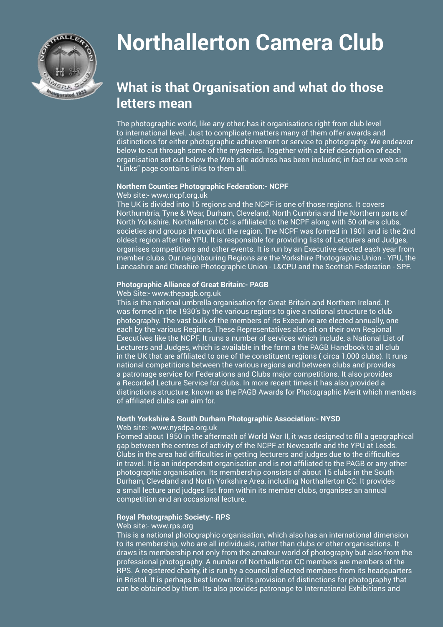

# **Northallerton Camera Club**

# **What is that Organisation and what do those letters mean**

The photographic world, like any other, has it organisations right from club level to international level. Just to complicate matters many of them offer awards and distinctions for either photographic achievement or service to photography. We endeavor below to cut through some of the mysteries. Together with a brief description of each organisation set out below the Web site address has been included; in fact our web site "Links" page contains links to them all.

#### **Northern Counties Photographic Federation:- NCPF**

#### Web site:- www.ncpf.org.uk

The UK is divided into 15 regions and the NCPF is one of those regions. It covers Northumbria, Tyne & Wear, Durham, Cleveland, North Cumbria and the Northern parts of North Yorkshire. Northallerton CC is affiliated to the NCPF along with 50 others clubs, societies and groups throughout the region. The NCPF was formed in 1901 and is the 2nd oldest region after the YPU. It is responsible for providing lists of Lecturers and Judges, organises competitions and other events. It is run by an Executive elected each year from member clubs. Our neighbouring Regions are the Yorkshire Photographic Union - YPU, the Lancashire and Cheshire Photographic Union - L&CPU and the Scottish Federation - SPF.

#### **Photographic Alliance of Great Britain:- PAGB**

#### Web Site:- www.thepagb.org.uk

This is the national umbrella organisation for Great Britain and Northern Ireland. It was formed in the 1930's by the various regions to give a national structure to club photography. The vast bulk of the members of its Executive are elected annually, one each by the various Regions. These Representatives also sit on their own Regional Executives like the NCPF. It runs a number of services which include, a National List of Lecturers and Judges, which is available in the form a the PAGB Handbook to all club in the UK that are affiliated to one of the constituent regions ( circa 1,000 clubs). It runs national competitions between the various regions and between clubs and provides a patronage service for Federations and Clubs major competitions. It also provides a Recorded Lecture Service for clubs. In more recent times it has also provided a distinctions structure, known as the PAGB Awards for Photographic Merit which members of affiliated clubs can aim for.

### **North Yorkshire & South Durham Photographic Association:- NYSD**

#### Web site:- www.nysdpa.org.uk

Formed about 1950 in the aftermath of World War II, it was designed to fill a geographical gap between the centres of activity of the NCPF at Newcastle and the YPU at Leeds. Clubs in the area had difficulties in getting lecturers and judges due to the difficulties in travel. It is an independent organisation and is not affiliated to the PAGB or any other photographic organisation. Its membership consists of about 15 clubs in the South Durham, Cleveland and North Yorkshire Area, including Northallerton CC. It provides a small lecture and judges list from within its member clubs, organises an annual competition and an occasional lecture.

#### **Royal Photographic Society:- RPS**

#### Web site:- www.rps.org

This is a national photographic organisation, which also has an international dimension to its membership, who are all individuals, rather than clubs or other organisations. It draws its membership not only from the amateur world of photography but also from the professional photography. A number of Northallerton CC members are members of the RPS. A registered charity, it is run by a council of elected members from its headquarters in Bristol. It is perhaps best known for its provision of distinctions for photography that can be obtained by them. Its also provides patronage to International Exhibitions and